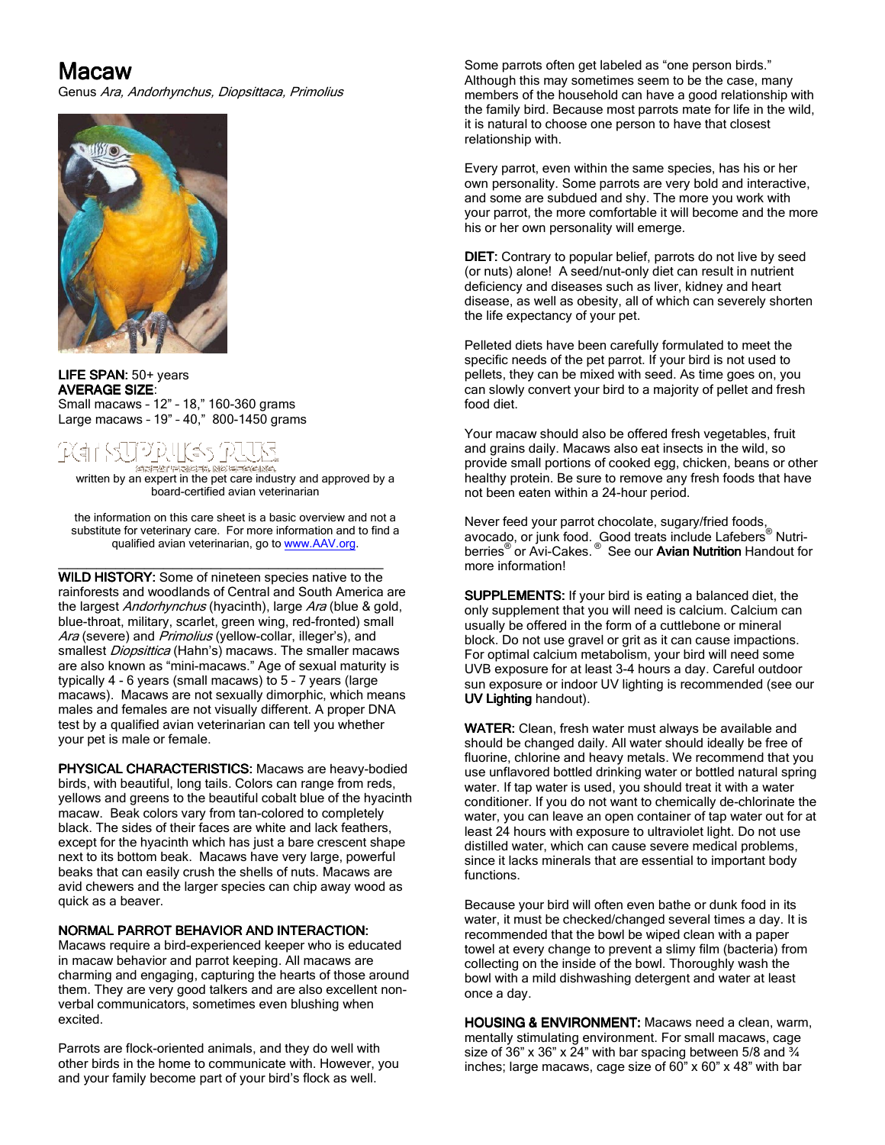# Macaw

Genus Ara, Andorhynchus, Diopsittaca, Primolius



LIFE SPAN: 50+ years **AVERAGE SIZE:** Small macaws – 12" – 18," 160-360 grams Large macaws – 19" – 40," 800-1450 grams

#### E-5 ich, nó cheanna GRESE ARPI

written by an expert in the pet care industry and approved by a board-certified avian veterinarian

the information on this care sheet is a basic overview and not a substitute for veterinary care. For more information and to find a qualified avian veterinarian, go to www.AAV.org.

\_\_\_\_\_\_\_\_\_\_\_\_\_\_\_\_\_\_\_\_\_\_\_\_\_\_\_\_\_\_\_\_\_\_

WILD HISTORY: Some of nineteen species native to the rainforests and woodlands of Central and South America are the largest *Andorhynchus* (hyacinth), large Ara (blue & gold, blue-throat, military, scarlet, green wing, red-fronted) small Ara (severe) and Primolius (yellow-collar, illeger's), and smallest Diopsittica (Hahn's) macaws. The smaller macaws are also known as "mini-macaws." Age of sexual maturity is typically 4 - 6 years (small macaws) to 5 – 7 years (large macaws). Macaws are not sexually dimorphic, which means males and females are not visually different. A proper DNA test by a qualified avian veterinarian can tell you whether your pet is male or female.

PHYSICAL CHARACTERISTICS: Macaws are heavy-bodied birds, with beautiful, long tails. Colors can range from reds, yellows and greens to the beautiful cobalt blue of the hyacinth macaw. Beak colors vary from tan-colored to completely black. The sides of their faces are white and lack feathers, except for the hyacinth which has just a bare crescent shape next to its bottom beak. Macaws have very large, powerful beaks that can easily crush the shells of nuts. Macaws are avid chewers and the larger species can chip away wood as quick as a beaver.

# NORMAL PARROT BEHAVIOR AND INTERACTION:

Macaws require a bird-experienced keeper who is educated in macaw behavior and parrot keeping. All macaws are charming and engaging, capturing the hearts of those around them. They are very good talkers and are also excellent nonverbal communicators, sometimes even blushing when excited.

Parrots are flock-oriented animals, and they do well with other birds in the home to communicate with. However, you and your family become part of your bird's flock as well.

Some parrots often get labeled as "one person birds." Although this may sometimes seem to be the case, many members of the household can have a good relationship with the family bird. Because most parrots mate for life in the wild, it is natural to choose one person to have that closest relationship with.

Every parrot, even within the same species, has his or her own personality. Some parrots are very bold and interactive, and some are subdued and shy. The more you work with your parrot, the more comfortable it will become and the more his or her own personality will emerge.

DIET: Contrary to popular belief, parrots do not live by seed (or nuts) alone! A seed/nut-only diet can result in nutrient deficiency and diseases such as liver, kidney and heart disease, as well as obesity, all of which can severely shorten the life expectancy of your pet.

Pelleted diets have been carefully formulated to meet the specific needs of the pet parrot. If your bird is not used to pellets, they can be mixed with seed. As time goes on, you can slowly convert your bird to a majority of pellet and fresh food diet.

Your macaw should also be offered fresh vegetables, fruit and grains daily. Macaws also eat insects in the wild, so provide small portions of cooked egg, chicken, beans or other healthy protein. Be sure to remove any fresh foods that have not been eaten within a 24-hour period.

Never feed your parrot chocolate, sugary/fried foods, avocado, or junk food. Good treats include Lafebers® Nutriberries<sup>®</sup> or Avi-Cakes.<sup>®</sup> See our Avian Nutrition Handout for more information!

SUPPLEMENTS: If your bird is eating a balanced diet, the only supplement that you will need is calcium. Calcium can usually be offered in the form of a cuttlebone or mineral block. Do not use gravel or grit as it can cause impactions. For optimal calcium metabolism, your bird will need some UVB exposure for at least 3-4 hours a day. Careful outdoor sun exposure or indoor UV lighting is recommended (see our UV Lighting handout).

WATER: Clean, fresh water must always be available and should be changed daily. All water should ideally be free of fluorine, chlorine and heavy metals. We recommend that you use unflavored bottled drinking water or bottled natural spring water. If tap water is used, you should treat it with a water conditioner. If you do not want to chemically de-chlorinate the water, you can leave an open container of tap water out for at least 24 hours with exposure to ultraviolet light. Do not use distilled water, which can cause severe medical problems, since it lacks minerals that are essential to important body functions.

Because your bird will often even bathe or dunk food in its water, it must be checked/changed several times a day. It is recommended that the bowl be wiped clean with a paper towel at every change to prevent a slimy film (bacteria) from collecting on the inside of the bowl. Thoroughly wash the bowl with a mild dishwashing detergent and water at least once a day.

HOUSING & ENVIRONMENT: Macaws need a clean, warm, mentally stimulating environment. For small macaws, cage size of 36" x 36" x 24" with bar spacing between  $5/8$  and  $\frac{3}{4}$ inches; large macaws, cage size of 60" x 60" x 48" with bar